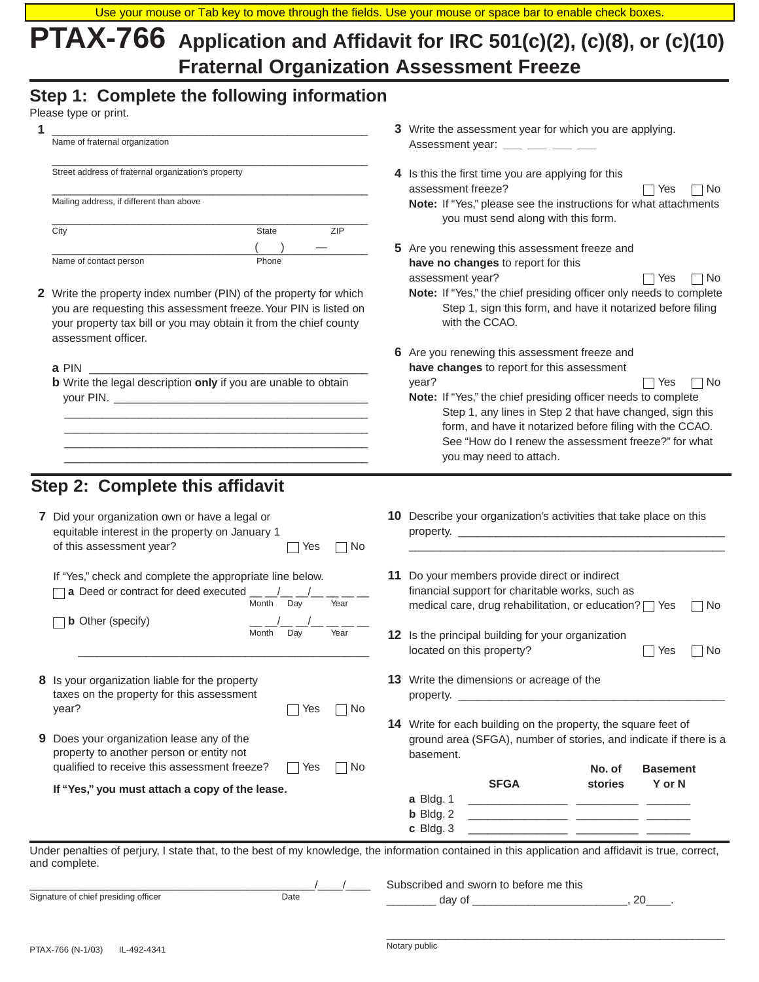# **PTAX-766 Application and Affidavit for IRC 501(c)(2), (c)(8), or (c)(10) Fraternal Organization Assessment Freeze**

# **Step 1: Complete the following information**

| 3 Write the assessment year for which you are applying.<br>Name of fraternal organization<br>Assessment year: $\frac{1}{1}$ $\frac{1}{1}$ $\frac{1}{1}$ $\frac{1}{1}$ $\frac{1}{1}$<br>Street address of fraternal organization's property<br>4 Is this the first time you are applying for this<br>assessment freeze?<br>∃ No<br>Yes<br>Mailing address, if different than above<br>Note: If "Yes," please see the instructions for what attachments<br>you must send along with this form.<br>ZIP<br>City<br>State<br>5 Are you renewing this assessment freeze and<br>Name of contact person<br>Phone<br>have no changes to report for this<br>assessment year?<br>l No<br>Yes<br>Note: If "Yes," the chief presiding officer only needs to complete<br>2 Write the property index number (PIN) of the property for which<br>Step 1, sign this form, and have it notarized before filing<br>you are requesting this assessment freeze. Your PIN is listed on<br>with the CCAO.<br>your property tax bill or you may obtain it from the chief county<br>assessment officer.<br>6 Are you renewing this assessment freeze and<br>have changes to report for this assessment<br>a PIN and the set of the set of the set of the set of the set of the set of the set of the set of the set of the set of the set of the set of the set of the set of the set of the set of the set of the set of the set of the<br><b>b</b> Write the legal description only if you are unable to obtain<br>year?<br>□ No<br>Yes<br>Note: If "Yes," the chief presiding officer needs to complete<br>Step 1, any lines in Step 2 that have changed, sign this<br>form, and have it notarized before filing with the CCAO.<br>See "How do I renew the assessment freeze?" for what<br>you may need to attach.<br>Step 2: Complete this affidavit<br>10 Describe your organization's activities that take place on this<br>7 Did your organization own or have a legal or<br>equitable interest in the property on January 1<br>of this assessment year?<br>Yes<br>∣No<br>If "Yes," check and complete the appropriate line below.<br>11 Do your members provide direct or indirect<br>financial support for charitable works, such as<br>a Deed or contract for deed executed<br>Month<br>Day<br>Year<br>medical care, drug rehabilitation, or education? T Yes<br>$\Box$ No<br><b>b</b> Other (specify)<br>Month<br>Day<br>Year<br>12 Is the principal building for your organization<br>located on this property?<br>∣No<br>Yes<br>13 Write the dimensions or acreage of the<br>8 Is your organization liable for the property<br>taxes on the property for this assessment<br>year?<br>∩ No<br>Yes<br>14 Write for each building on the property, the square feet of<br>9 Does your organization lease any of the<br>ground area (SFGA), number of stories, and indicate if there is a<br>property to another person or entity not<br>basement.<br>qualified to receive this assessment freeze?<br>Yes<br>∣No<br>No. of<br><b>Basement</b><br><b>SFGA</b><br>stories<br>Y or N<br>If "Yes," you must attach a copy of the lease.<br>a Bldg. 1<br>$b$ Bldg. 2<br><u> 1989 - Johann John Harry Harry Harry Harry Harry Harry Harry Harry Harry Harry Harry Harry Harry Harry Harry Harry Harry Harry Harry Harry Harry Harry Harry Harry Harry Harry Harry Harry Harry Harry Harry Harry Harry Har</u><br>c Bldg. 3<br>Under penalties of perjury, I state that, to the best of my knowledge, the information contained in this application and affidavit is true, correct,<br>and complete.<br>Subscribed and sworn to before me this<br>Signature of chief presiding officer<br>Date | Please type or print. |  |
|-----------------------------------------------------------------------------------------------------------------------------------------------------------------------------------------------------------------------------------------------------------------------------------------------------------------------------------------------------------------------------------------------------------------------------------------------------------------------------------------------------------------------------------------------------------------------------------------------------------------------------------------------------------------------------------------------------------------------------------------------------------------------------------------------------------------------------------------------------------------------------------------------------------------------------------------------------------------------------------------------------------------------------------------------------------------------------------------------------------------------------------------------------------------------------------------------------------------------------------------------------------------------------------------------------------------------------------------------------------------------------------------------------------------------------------------------------------------------------------------------------------------------------------------------------------------------------------------------------------------------------------------------------------------------------------------------------------------------------------------------------------------------------------------------------------------------------------------------------------------------------------------------------------------------------------------------------------------------------------------------------------------------------------------------------------------------------------------------------------------------------------------------------------------------------------------------------------------------------------------------------------------------------------------------------------------------------------------------------------------------------------------------------------------------------------------------------------------------------------------------------------------------------------------------------------------------------------------------------------------------------------------------------------------------------------------------------------------------------------------------------------------------------------------------------------------------------------------------------------------------------------------------------------------------------------------------------------------------------------------------------------------------------------------------------------------------------------------------------------------------------------------------------------------------------------------------------------------------------------------------------------------------------------------------------------------------------------------------------------------------------------------------------------------------------------------------------------------------------------------------------------------------------------------------------------------------------------------------------------------------------------------------------------------------|-----------------------|--|
|                                                                                                                                                                                                                                                                                                                                                                                                                                                                                                                                                                                                                                                                                                                                                                                                                                                                                                                                                                                                                                                                                                                                                                                                                                                                                                                                                                                                                                                                                                                                                                                                                                                                                                                                                                                                                                                                                                                                                                                                                                                                                                                                                                                                                                                                                                                                                                                                                                                                                                                                                                                                                                                                                                                                                                                                                                                                                                                                                                                                                                                                                                                                                                                                                                                                                                                                                                                                                                                                                                                                                                                                                                                                       |                       |  |
|                                                                                                                                                                                                                                                                                                                                                                                                                                                                                                                                                                                                                                                                                                                                                                                                                                                                                                                                                                                                                                                                                                                                                                                                                                                                                                                                                                                                                                                                                                                                                                                                                                                                                                                                                                                                                                                                                                                                                                                                                                                                                                                                                                                                                                                                                                                                                                                                                                                                                                                                                                                                                                                                                                                                                                                                                                                                                                                                                                                                                                                                                                                                                                                                                                                                                                                                                                                                                                                                                                                                                                                                                                                                       |                       |  |
|                                                                                                                                                                                                                                                                                                                                                                                                                                                                                                                                                                                                                                                                                                                                                                                                                                                                                                                                                                                                                                                                                                                                                                                                                                                                                                                                                                                                                                                                                                                                                                                                                                                                                                                                                                                                                                                                                                                                                                                                                                                                                                                                                                                                                                                                                                                                                                                                                                                                                                                                                                                                                                                                                                                                                                                                                                                                                                                                                                                                                                                                                                                                                                                                                                                                                                                                                                                                                                                                                                                                                                                                                                                                       |                       |  |
|                                                                                                                                                                                                                                                                                                                                                                                                                                                                                                                                                                                                                                                                                                                                                                                                                                                                                                                                                                                                                                                                                                                                                                                                                                                                                                                                                                                                                                                                                                                                                                                                                                                                                                                                                                                                                                                                                                                                                                                                                                                                                                                                                                                                                                                                                                                                                                                                                                                                                                                                                                                                                                                                                                                                                                                                                                                                                                                                                                                                                                                                                                                                                                                                                                                                                                                                                                                                                                                                                                                                                                                                                                                                       |                       |  |
|                                                                                                                                                                                                                                                                                                                                                                                                                                                                                                                                                                                                                                                                                                                                                                                                                                                                                                                                                                                                                                                                                                                                                                                                                                                                                                                                                                                                                                                                                                                                                                                                                                                                                                                                                                                                                                                                                                                                                                                                                                                                                                                                                                                                                                                                                                                                                                                                                                                                                                                                                                                                                                                                                                                                                                                                                                                                                                                                                                                                                                                                                                                                                                                                                                                                                                                                                                                                                                                                                                                                                                                                                                                                       |                       |  |
|                                                                                                                                                                                                                                                                                                                                                                                                                                                                                                                                                                                                                                                                                                                                                                                                                                                                                                                                                                                                                                                                                                                                                                                                                                                                                                                                                                                                                                                                                                                                                                                                                                                                                                                                                                                                                                                                                                                                                                                                                                                                                                                                                                                                                                                                                                                                                                                                                                                                                                                                                                                                                                                                                                                                                                                                                                                                                                                                                                                                                                                                                                                                                                                                                                                                                                                                                                                                                                                                                                                                                                                                                                                                       |                       |  |
|                                                                                                                                                                                                                                                                                                                                                                                                                                                                                                                                                                                                                                                                                                                                                                                                                                                                                                                                                                                                                                                                                                                                                                                                                                                                                                                                                                                                                                                                                                                                                                                                                                                                                                                                                                                                                                                                                                                                                                                                                                                                                                                                                                                                                                                                                                                                                                                                                                                                                                                                                                                                                                                                                                                                                                                                                                                                                                                                                                                                                                                                                                                                                                                                                                                                                                                                                                                                                                                                                                                                                                                                                                                                       |                       |  |
|                                                                                                                                                                                                                                                                                                                                                                                                                                                                                                                                                                                                                                                                                                                                                                                                                                                                                                                                                                                                                                                                                                                                                                                                                                                                                                                                                                                                                                                                                                                                                                                                                                                                                                                                                                                                                                                                                                                                                                                                                                                                                                                                                                                                                                                                                                                                                                                                                                                                                                                                                                                                                                                                                                                                                                                                                                                                                                                                                                                                                                                                                                                                                                                                                                                                                                                                                                                                                                                                                                                                                                                                                                                                       |                       |  |
|                                                                                                                                                                                                                                                                                                                                                                                                                                                                                                                                                                                                                                                                                                                                                                                                                                                                                                                                                                                                                                                                                                                                                                                                                                                                                                                                                                                                                                                                                                                                                                                                                                                                                                                                                                                                                                                                                                                                                                                                                                                                                                                                                                                                                                                                                                                                                                                                                                                                                                                                                                                                                                                                                                                                                                                                                                                                                                                                                                                                                                                                                                                                                                                                                                                                                                                                                                                                                                                                                                                                                                                                                                                                       |                       |  |
|                                                                                                                                                                                                                                                                                                                                                                                                                                                                                                                                                                                                                                                                                                                                                                                                                                                                                                                                                                                                                                                                                                                                                                                                                                                                                                                                                                                                                                                                                                                                                                                                                                                                                                                                                                                                                                                                                                                                                                                                                                                                                                                                                                                                                                                                                                                                                                                                                                                                                                                                                                                                                                                                                                                                                                                                                                                                                                                                                                                                                                                                                                                                                                                                                                                                                                                                                                                                                                                                                                                                                                                                                                                                       |                       |  |
|                                                                                                                                                                                                                                                                                                                                                                                                                                                                                                                                                                                                                                                                                                                                                                                                                                                                                                                                                                                                                                                                                                                                                                                                                                                                                                                                                                                                                                                                                                                                                                                                                                                                                                                                                                                                                                                                                                                                                                                                                                                                                                                                                                                                                                                                                                                                                                                                                                                                                                                                                                                                                                                                                                                                                                                                                                                                                                                                                                                                                                                                                                                                                                                                                                                                                                                                                                                                                                                                                                                                                                                                                                                                       |                       |  |
|                                                                                                                                                                                                                                                                                                                                                                                                                                                                                                                                                                                                                                                                                                                                                                                                                                                                                                                                                                                                                                                                                                                                                                                                                                                                                                                                                                                                                                                                                                                                                                                                                                                                                                                                                                                                                                                                                                                                                                                                                                                                                                                                                                                                                                                                                                                                                                                                                                                                                                                                                                                                                                                                                                                                                                                                                                                                                                                                                                                                                                                                                                                                                                                                                                                                                                                                                                                                                                                                                                                                                                                                                                                                       |                       |  |
|                                                                                                                                                                                                                                                                                                                                                                                                                                                                                                                                                                                                                                                                                                                                                                                                                                                                                                                                                                                                                                                                                                                                                                                                                                                                                                                                                                                                                                                                                                                                                                                                                                                                                                                                                                                                                                                                                                                                                                                                                                                                                                                                                                                                                                                                                                                                                                                                                                                                                                                                                                                                                                                                                                                                                                                                                                                                                                                                                                                                                                                                                                                                                                                                                                                                                                                                                                                                                                                                                                                                                                                                                                                                       |                       |  |
|                                                                                                                                                                                                                                                                                                                                                                                                                                                                                                                                                                                                                                                                                                                                                                                                                                                                                                                                                                                                                                                                                                                                                                                                                                                                                                                                                                                                                                                                                                                                                                                                                                                                                                                                                                                                                                                                                                                                                                                                                                                                                                                                                                                                                                                                                                                                                                                                                                                                                                                                                                                                                                                                                                                                                                                                                                                                                                                                                                                                                                                                                                                                                                                                                                                                                                                                                                                                                                                                                                                                                                                                                                                                       |                       |  |
|                                                                                                                                                                                                                                                                                                                                                                                                                                                                                                                                                                                                                                                                                                                                                                                                                                                                                                                                                                                                                                                                                                                                                                                                                                                                                                                                                                                                                                                                                                                                                                                                                                                                                                                                                                                                                                                                                                                                                                                                                                                                                                                                                                                                                                                                                                                                                                                                                                                                                                                                                                                                                                                                                                                                                                                                                                                                                                                                                                                                                                                                                                                                                                                                                                                                                                                                                                                                                                                                                                                                                                                                                                                                       |                       |  |
|                                                                                                                                                                                                                                                                                                                                                                                                                                                                                                                                                                                                                                                                                                                                                                                                                                                                                                                                                                                                                                                                                                                                                                                                                                                                                                                                                                                                                                                                                                                                                                                                                                                                                                                                                                                                                                                                                                                                                                                                                                                                                                                                                                                                                                                                                                                                                                                                                                                                                                                                                                                                                                                                                                                                                                                                                                                                                                                                                                                                                                                                                                                                                                                                                                                                                                                                                                                                                                                                                                                                                                                                                                                                       |                       |  |
|                                                                                                                                                                                                                                                                                                                                                                                                                                                                                                                                                                                                                                                                                                                                                                                                                                                                                                                                                                                                                                                                                                                                                                                                                                                                                                                                                                                                                                                                                                                                                                                                                                                                                                                                                                                                                                                                                                                                                                                                                                                                                                                                                                                                                                                                                                                                                                                                                                                                                                                                                                                                                                                                                                                                                                                                                                                                                                                                                                                                                                                                                                                                                                                                                                                                                                                                                                                                                                                                                                                                                                                                                                                                       |                       |  |
|                                                                                                                                                                                                                                                                                                                                                                                                                                                                                                                                                                                                                                                                                                                                                                                                                                                                                                                                                                                                                                                                                                                                                                                                                                                                                                                                                                                                                                                                                                                                                                                                                                                                                                                                                                                                                                                                                                                                                                                                                                                                                                                                                                                                                                                                                                                                                                                                                                                                                                                                                                                                                                                                                                                                                                                                                                                                                                                                                                                                                                                                                                                                                                                                                                                                                                                                                                                                                                                                                                                                                                                                                                                                       |                       |  |
|                                                                                                                                                                                                                                                                                                                                                                                                                                                                                                                                                                                                                                                                                                                                                                                                                                                                                                                                                                                                                                                                                                                                                                                                                                                                                                                                                                                                                                                                                                                                                                                                                                                                                                                                                                                                                                                                                                                                                                                                                                                                                                                                                                                                                                                                                                                                                                                                                                                                                                                                                                                                                                                                                                                                                                                                                                                                                                                                                                                                                                                                                                                                                                                                                                                                                                                                                                                                                                                                                                                                                                                                                                                                       |                       |  |
|                                                                                                                                                                                                                                                                                                                                                                                                                                                                                                                                                                                                                                                                                                                                                                                                                                                                                                                                                                                                                                                                                                                                                                                                                                                                                                                                                                                                                                                                                                                                                                                                                                                                                                                                                                                                                                                                                                                                                                                                                                                                                                                                                                                                                                                                                                                                                                                                                                                                                                                                                                                                                                                                                                                                                                                                                                                                                                                                                                                                                                                                                                                                                                                                                                                                                                                                                                                                                                                                                                                                                                                                                                                                       |                       |  |

\_\_\_\_\_\_\_\_\_\_\_\_\_\_\_\_\_\_\_\_\_\_\_\_\_\_\_\_\_\_\_\_\_\_\_\_\_\_\_\_\_\_\_\_\_\_\_\_\_\_\_\_